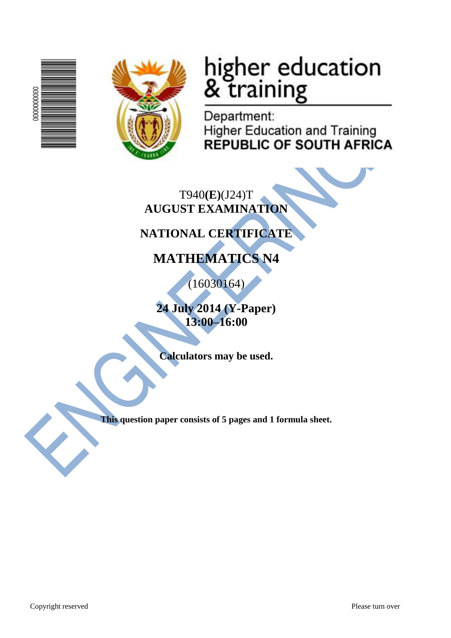



# higher education<br>& training

Department: **Higher Education and Training REPUBLIC OF SOUTH AFRICA** 

T940**(E)**(J24)T **AUGUST EXAMINATION**

# **NATIONAL CERTIFICATE**

# **MATHEMATICS N4**

(16030164)

**24 July 2014 (Y-Paper) 13:00–16:00**

**Calculators may be used.**

**This question paper consists of 5 pages and 1 formula sheet.**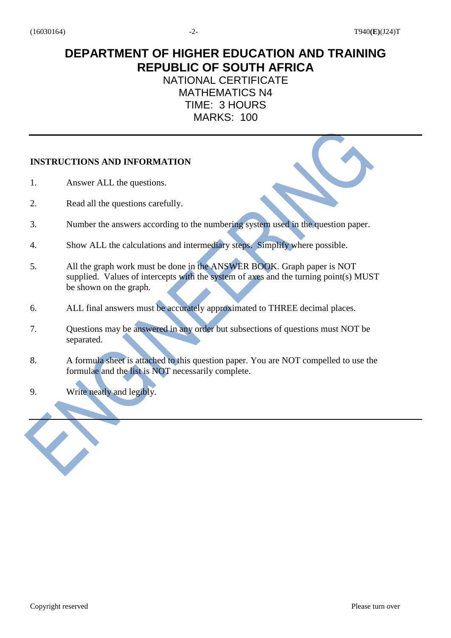## **DEPARTMENT OF HIGHER EDUCATION AND TRAINING REPUBLIC OF SOUTH AFRICA**

### NATIONAL CERTIFICATE MATHEMATICS N4 TIME: 3 HOURS MARKS: 100

#### **INSTRUCTIONS AND INFORMATION**

- 1. Answer ALL the questions.
- 2. Read all the questions carefully.
- 3. Number the answers according to the numbering system used in the question paper.
- 4. Show ALL the calculations and intermediary steps. Simplify where possible.
- 5. All the graph work must be done in the ANSWER BOOK. Graph paper is NOT supplied. Values of intercepts with the system of axes and the turning point(s) MUST be shown on the graph.
- 6. ALL final answers must be accurately approximated to THREE decimal places.
- 7. Questions may be answered in any order but subsections of questions must NOT be separated.
- 8. A formula sheet is attached to this question paper. You are NOT compelled to use the formulae and the list is NOT necessarily complete.
- 9. Write neatly and legibly.

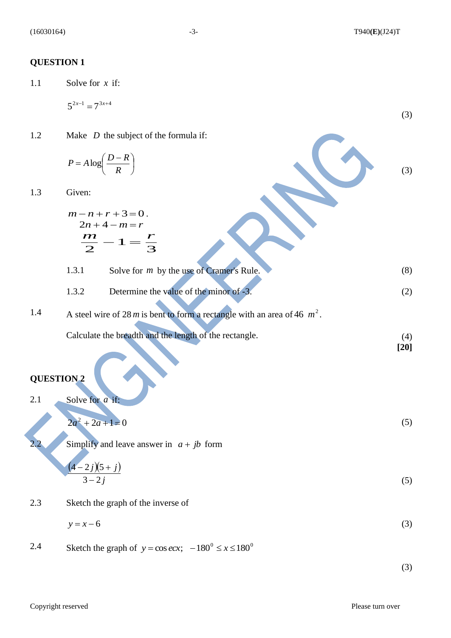#### **QUESTION 1**

1.1 Solve for *x* if:

$$
5^{2x-1} = 7^{3x+4}
$$
 (3)

1.2 Make *D* the subject of the formula if:

$$
P = A \log \left( \frac{D - R}{R} \right)
$$

1.3 Given:

$$
m-n+r+3=0.
$$
  
\n
$$
2n+4-m=r
$$
  
\n
$$
\frac{m}{2}-1=\frac{r}{3}
$$
  
\n1.3.1 Solve for *m* by the use of Cramer's Rule. (8)

1.3.2 Determine the value of the minor of 
$$
-3
$$
. (2)

1.4 A steel wire of 28 m is bent to form a rectangle with an area of 46 
$$
m^2
$$
.

Calculate the breadth and the length of the rectangle. (4)

$$
[20]
$$

(3)

## **QUESTION 2**

2.1 Solve for *a* if:

 $2a^2 + 2a + 1 = 0$  (5)

2.2 Simplify and leave answer in  $a + jb$  form

$$
\frac{(4-2j)(5+j)}{3-2j} \tag{5}
$$

2.3 Sketch the graph of the inverse of

$$
y = x - 6 \tag{3}
$$

2.4 Sketch the graph of  $y = \cos ecx$ ;  $-180^\circ \le x \le 180^\circ$ 

(3)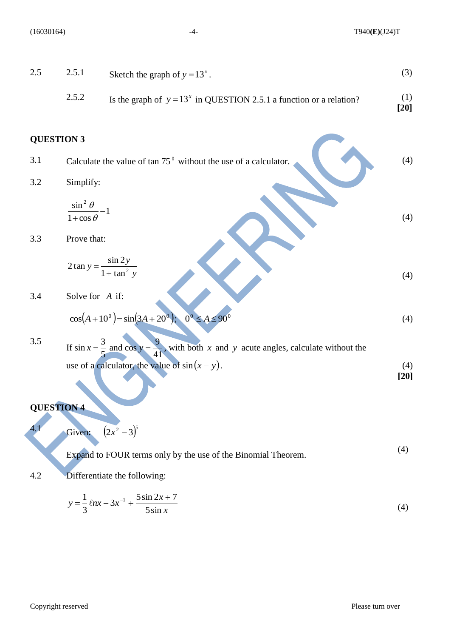(16030164) -4- T940**(E)**(J24)T

| 2.5 | 2.5.1                                       | Sketch the graph of $y = 13^x$ .                                                                              | (3)           |
|-----|---------------------------------------------|---------------------------------------------------------------------------------------------------------------|---------------|
|     | 2.5.2                                       | Is the graph of $y = 13^x$ in QUESTION 2.5.1 a function or a relation?                                        | (1)<br>$[20]$ |
|     | <b>QUESTION 3</b>                           |                                                                                                               |               |
| 3.1 |                                             | Calculate the value of $\tan 75^\circ$ without the use of a calculator.                                       | (4)           |
| 3.2 | Simplify:                                   |                                                                                                               |               |
|     | $\frac{\sin^2 \theta}{1 + \cos \theta} - 1$ |                                                                                                               | (4)           |
| 3.3 | Prove that:                                 |                                                                                                               |               |
|     |                                             | $2\tan y = \frac{\sin 2y}{1 + \tan^2 y}$                                                                      | (4)           |
| 3.4 | Solve for A if:                             |                                                                                                               |               |
|     |                                             | $0^0 \leq A \leq 90^0$<br>$\cos(A+10^0) = \sin(3A+20^0);$                                                     | (4)           |
| 3.5 |                                             | If $\sin x = \frac{3}{7}$ and $\cos y = \frac{9}{11}$ , with both x and y acute angles, calculate without the |               |
|     |                                             | use of a calculator, the value of $sin(x - y)$ .                                                              | (4)<br>$[20]$ |
|     |                                             |                                                                                                               |               |
|     | <b>QUESTION 4</b>                           |                                                                                                               |               |
| 4.1 |                                             | Given: $(2x^2 - 3)^5$                                                                                         |               |
|     |                                             | Expand to FOUR terms only by the use of the Binomial Theorem.                                                 | (4)           |
| 4.2 |                                             | Differentiate the following:                                                                                  |               |
|     |                                             | $y = \frac{1}{3} \ln x - 3x^{-1} + \frac{5 \sin 2x + 7}{5 \sin x}$                                            | (4)           |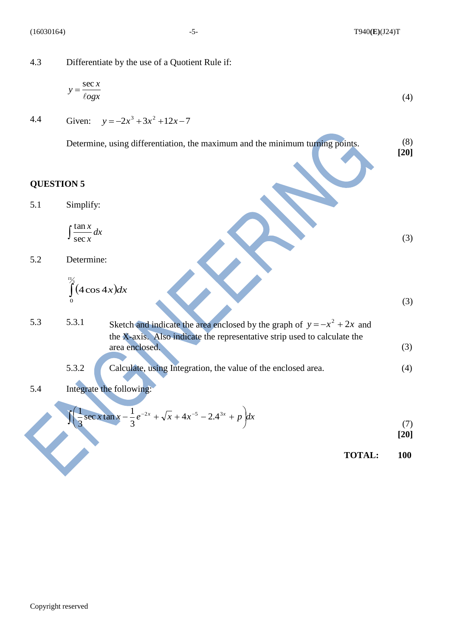4.3 Differentiate by the use of a Quotient Rule if:

$$
y = \frac{\sec x}{\log x} \tag{4}
$$

4.4 Given:  $y = -2x^3 + 3x^2 + 12x - 7$ 

> Determine, using differentiation, the maximum and the minimum turning points. (8) **[20]**

#### **QUESTION 5**

5.1 Simplify:

$$
\int \frac{\tan x}{\sec x} dx
$$

5.2 Determine:

$$
\int_{0}^{\frac{\pi}{3}}(4\cos 4x)dx
$$

(3)

(3)

5.3 5.3.1 Sketch and indicate the area enclosed by the graph of  $y = -x^2 + 2x$  and the X-axis. Also indicate the representative strip used to calculate the area enclosed. (3)

5.3.2 Calculate, using Integration, the value of the enclosed area. (4)

5.4 Integrate the following:

$$
\int \left( \frac{1}{3} \sec x \tan x - \frac{1}{3} e^{-2x} + \sqrt{x} + 4x^{-5} - 2 \cdot 4^{3x} + p \right) dx
$$
\n(7)

**[20]**

**TOTAL: 100**